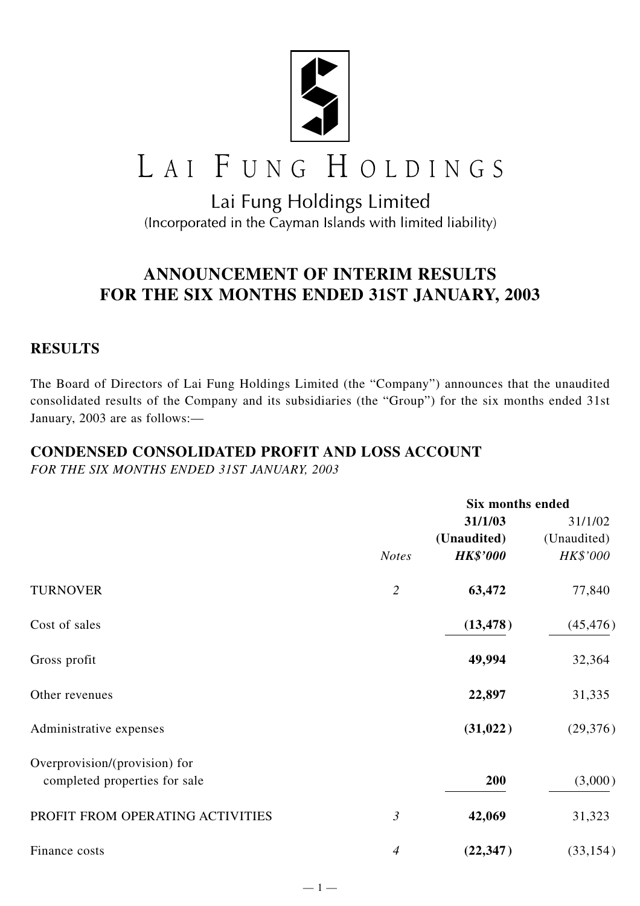

# LAI FUNG HOLDINGS

# Lai Fung Holdings Limited (Incorporated in the Cayman Islands with limited liability)

# **ANNOUNCEMENT OF INTERIM RESULTS FOR THE SIX MONTHS ENDED 31ST JANUARY, 2003**

# **RESULTS**

The Board of Directors of Lai Fung Holdings Limited (the "Company") announces that the unaudited consolidated results of the Company and its subsidiaries (the "Group") for the six months ended 31st January, 2003 are as follows:—

# **CONDENSED CONSOLIDATED PROFIT AND LOSS ACCOUNT**

*FOR THE SIX MONTHS ENDED 31ST JANUARY, 2003*

|                                  |                | <b>Six months ended</b> |             |
|----------------------------------|----------------|-------------------------|-------------|
|                                  |                | 31/1/03                 | 31/1/02     |
|                                  |                | (Unaudited)             | (Unaudited) |
|                                  | <b>Notes</b>   | <b>HK\$'000</b>         | HK\$'000    |
| <b>TURNOVER</b>                  | $\overline{2}$ | 63,472                  | 77,840      |
| Cost of sales                    |                | (13, 478)               | (45, 476)   |
| Gross profit                     |                | 49,994                  | 32,364      |
| Other revenues                   |                | 22,897                  | 31,335      |
| Administrative expenses          |                | (31, 022)               | (29, 376)   |
| Overprovision/(provision) for    |                |                         |             |
| completed properties for sale    |                | 200                     | (3,000)     |
| PROFIT FROM OPERATING ACTIVITIES | $\mathfrak{Z}$ | 42,069                  | 31,323      |
| Finance costs                    | $\overline{4}$ | (22, 347)               | (33, 154)   |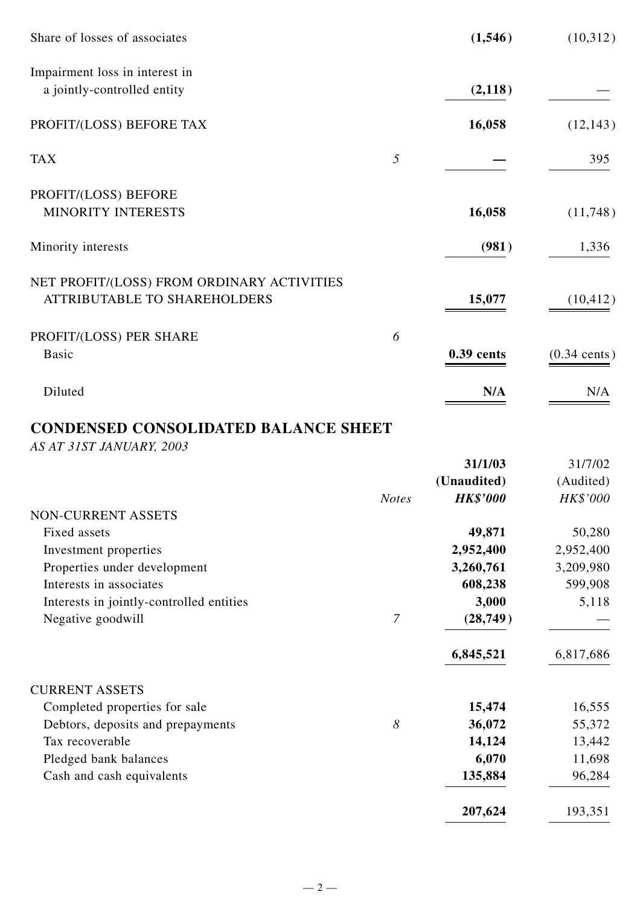| Share of losses of associates                                                     |   | (1,546)    | (10,312)               |
|-----------------------------------------------------------------------------------|---|------------|------------------------|
| Impairment loss in interest in<br>a jointly-controlled entity                     |   | (2,118)    |                        |
| PROFIT/(LOSS) BEFORE TAX                                                          |   | 16,058     | (12, 143)              |
| <b>TAX</b>                                                                        | 5 |            | 395                    |
| PROFIT/(LOSS) BEFORE<br><b>MINORITY INTERESTS</b>                                 |   | 16,058     | (11,748)               |
| Minority interests                                                                |   | (981)      | 1,336                  |
| NET PROFIT/(LOSS) FROM ORDINARY ACTIVITIES<br><b>ATTRIBUTABLE TO SHAREHOLDERS</b> |   | 15,077     | (10, 412)              |
| PROFIT/(LOSS) PER SHARE<br><b>Basic</b>                                           | 6 | 0.39 cents | $(0.34 \text{ cents})$ |
| Diluted                                                                           |   | N/A        | N/A                    |

# **CONDENSED CONSOLIDATED BALANCE SHEET**

*AS AT 31ST JANUARY, 2003*

|                                          |                | 31/1/03         | 31/7/02   |
|------------------------------------------|----------------|-----------------|-----------|
|                                          |                | (Unaudited)     | (Audited) |
|                                          | <b>Notes</b>   | <b>HK\$'000</b> | HK\$'000  |
| NON-CURRENT ASSETS                       |                |                 |           |
| Fixed assets                             |                | 49,871          | 50,280    |
| Investment properties                    |                | 2,952,400       | 2,952,400 |
| Properties under development             |                | 3,260,761       | 3,209,980 |
| Interests in associates                  |                | 608,238         | 599,908   |
| Interests in jointly-controlled entities |                | 3,000           | 5,118     |
| Negative goodwill                        | $\overline{7}$ | (28, 749)       |           |
|                                          |                | 6,845,521       | 6,817,686 |
| <b>CURRENT ASSETS</b>                    |                |                 |           |
| Completed properties for sale            |                | 15,474          | 16,555    |
| Debtors, deposits and prepayments        | 8              | 36,072          | 55,372    |
| Tax recoverable                          |                | 14,124          | 13,442    |
| Pledged bank balances                    |                | 6,070           | 11,698    |
| Cash and cash equivalents                |                | 135,884         | 96,284    |
|                                          |                | 207,624         | 193,351   |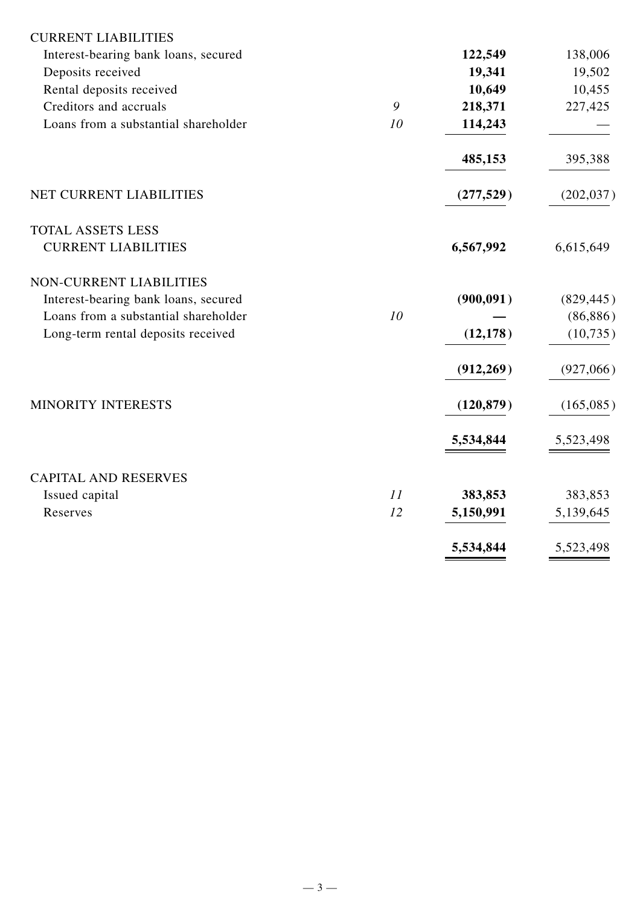| <b>CURRENT LIABILITIES</b>           |    |            |            |
|--------------------------------------|----|------------|------------|
| Interest-bearing bank loans, secured |    | 122,549    | 138,006    |
| Deposits received                    |    | 19,341     | 19,502     |
| Rental deposits received             |    | 10,649     | 10,455     |
| Creditors and accruals               | 9  | 218,371    | 227,425    |
| Loans from a substantial shareholder | 10 | 114,243    |            |
|                                      |    | 485,153    | 395,388    |
| NET CURRENT LIABILITIES              |    | (277, 529) | (202, 037) |
| <b>TOTAL ASSETS LESS</b>             |    |            |            |
| <b>CURRENT LIABILITIES</b>           |    | 6,567,992  | 6,615,649  |
| <b>NON-CURRENT LIABILITIES</b>       |    |            |            |
| Interest-bearing bank loans, secured |    | (900, 091) | (829, 445) |
| Loans from a substantial shareholder | 10 |            | (86, 886)  |
| Long-term rental deposits received   |    | (12, 178)  | (10, 735)  |
|                                      |    | (912, 269) | (927,066)  |
| MINORITY INTERESTS                   |    | (120, 879) | (165,085)  |
|                                      |    | 5,534,844  | 5,523,498  |
| <b>CAPITAL AND RESERVES</b>          |    |            |            |
| Issued capital                       | 11 | 383,853    | 383,853    |
| Reserves                             | 12 | 5,150,991  | 5,139,645  |
|                                      |    | 5,534,844  | 5,523,498  |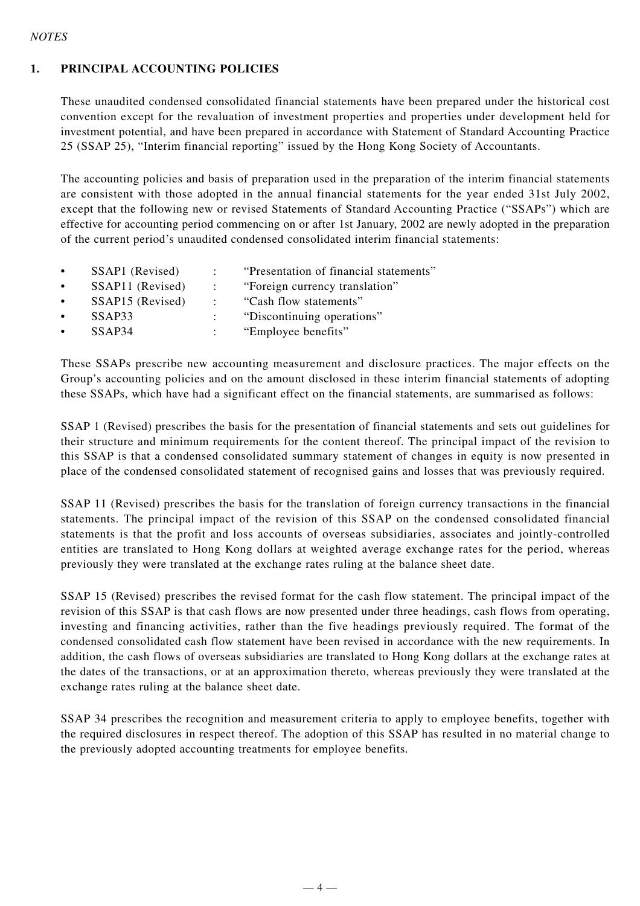#### *NOTES*

#### **1. PRINCIPAL ACCOUNTING POLICIES**

These unaudited condensed consolidated financial statements have been prepared under the historical cost convention except for the revaluation of investment properties and properties under development held for investment potential, and have been prepared in accordance with Statement of Standard Accounting Practice 25 (SSAP 25), "Interim financial reporting" issued by the Hong Kong Society of Accountants.

The accounting policies and basis of preparation used in the preparation of the interim financial statements are consistent with those adopted in the annual financial statements for the year ended 31st July 2002, except that the following new or revised Statements of Standard Accounting Practice ("SSAPs") which are effective for accounting period commencing on or after 1st January, 2002 are newly adopted in the preparation of the current period's unaudited condensed consolidated interim financial statements:

• SSAP1 (Revised) : "Presentation of financial statements" • SSAP11 (Revised) : "Foreign currency translation" • SSAP15 (Revised) : "Cash flow statements" • SSAP33 : "Discontinuing operations" SSAP34 : "Employee benefits"

These SSAPs prescribe new accounting measurement and disclosure practices. The major effects on the Group's accounting policies and on the amount disclosed in these interim financial statements of adopting these SSAPs, which have had a significant effect on the financial statements, are summarised as follows:

SSAP 1 (Revised) prescribes the basis for the presentation of financial statements and sets out guidelines for their structure and minimum requirements for the content thereof. The principal impact of the revision to this SSAP is that a condensed consolidated summary statement of changes in equity is now presented in place of the condensed consolidated statement of recognised gains and losses that was previously required.

SSAP 11 (Revised) prescribes the basis for the translation of foreign currency transactions in the financial statements. The principal impact of the revision of this SSAP on the condensed consolidated financial statements is that the profit and loss accounts of overseas subsidiaries, associates and jointly-controlled entities are translated to Hong Kong dollars at weighted average exchange rates for the period, whereas previously they were translated at the exchange rates ruling at the balance sheet date.

SSAP 15 (Revised) prescribes the revised format for the cash flow statement. The principal impact of the revision of this SSAP is that cash flows are now presented under three headings, cash flows from operating, investing and financing activities, rather than the five headings previously required. The format of the condensed consolidated cash flow statement have been revised in accordance with the new requirements. In addition, the cash flows of overseas subsidiaries are translated to Hong Kong dollars at the exchange rates at the dates of the transactions, or at an approximation thereto, whereas previously they were translated at the exchange rates ruling at the balance sheet date.

SSAP 34 prescribes the recognition and measurement criteria to apply to employee benefits, together with the required disclosures in respect thereof. The adoption of this SSAP has resulted in no material change to the previously adopted accounting treatments for employee benefits.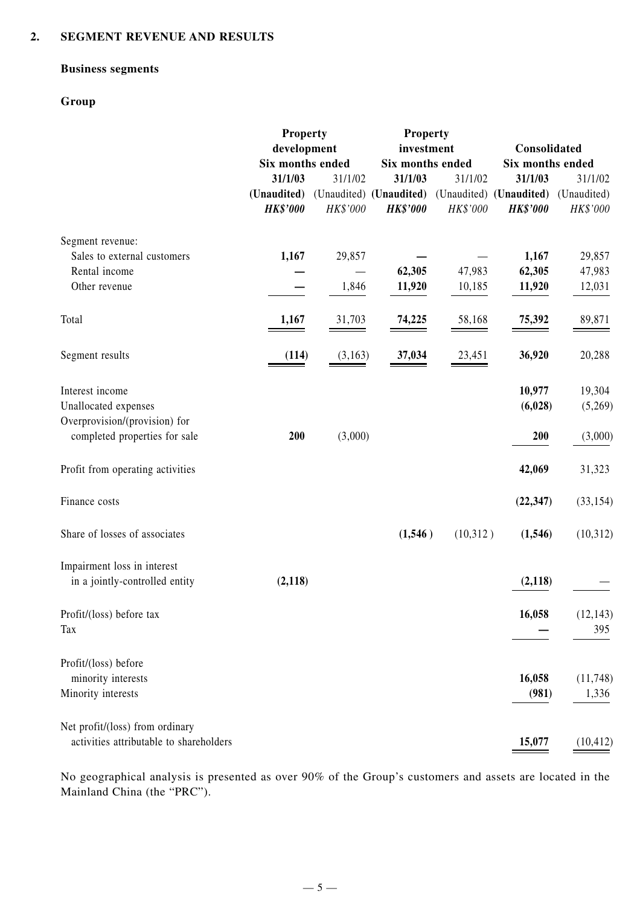#### **2. SEGMENT REVENUE AND RESULTS**

#### **Business segments**

#### **Group**

|                                         | <b>Property</b>                 |          | <b>Property</b><br>investment              |          | Consolidated                               |                         |
|-----------------------------------------|---------------------------------|----------|--------------------------------------------|----------|--------------------------------------------|-------------------------|
|                                         | development<br>Six months ended |          | Six months ended                           |          | Six months ended                           |                         |
|                                         | 31/1/03                         | 31/1/02  | 31/1/03                                    | 31/1/02  | 31/1/03                                    | 31/1/02                 |
|                                         | (Unaudited)                     |          |                                            |          |                                            |                         |
|                                         | <b>HK\$'000</b>                 | HK\$'000 | (Unaudited) (Unaudited)<br><b>HK\$'000</b> | HK\$'000 | (Unaudited) (Unaudited)<br><b>HK\$'000</b> | (Unaudited)<br>HK\$'000 |
| Segment revenue:                        |                                 |          |                                            |          |                                            |                         |
| Sales to external customers             | 1,167                           | 29,857   |                                            |          | 1,167                                      | 29,857                  |
| Rental income                           |                                 |          | 62,305                                     | 47,983   | 62,305                                     | 47,983                  |
| Other revenue                           |                                 | 1,846    | 11,920                                     | 10,185   | 11,920                                     | 12,031                  |
|                                         |                                 |          |                                            |          |                                            |                         |
| Total                                   | 1,167                           | 31,703   | 74,225                                     | 58,168   | 75,392                                     | 89,871                  |
| Segment results                         | (114)                           | (3,163)  | 37,034                                     | 23,451   | 36,920                                     | 20,288                  |
| Interest income                         |                                 |          |                                            |          | 10,977                                     | 19,304                  |
| Unallocated expenses                    |                                 |          |                                            |          | (6,028)                                    | (5,269)                 |
| Overprovision/(provision) for           |                                 |          |                                            |          |                                            |                         |
| completed properties for sale           | 200                             | (3,000)  |                                            |          | 200                                        | (3,000)                 |
| Profit from operating activities        |                                 |          |                                            |          | 42,069                                     | 31,323                  |
| Finance costs                           |                                 |          |                                            |          | (22, 347)                                  | (33, 154)               |
| Share of losses of associates           |                                 |          | (1,546)                                    | (10,312) | (1, 546)                                   | (10,312)                |
| Impairment loss in interest             |                                 |          |                                            |          |                                            |                         |
| in a jointly-controlled entity          | (2,118)                         |          |                                            |          | (2, 118)                                   |                         |
| Profit/(loss) before tax                |                                 |          |                                            |          | 16,058                                     | (12, 143)               |
| Tax                                     |                                 |          |                                            |          |                                            | 395                     |
| Profit/(loss) before                    |                                 |          |                                            |          |                                            |                         |
| minority interests                      |                                 |          |                                            |          | 16,058                                     | (11,748)                |
| Minority interests                      |                                 |          |                                            |          | (981)                                      | 1,336                   |
| Net profit/(loss) from ordinary         |                                 |          |                                            |          |                                            |                         |
| activities attributable to shareholders |                                 |          |                                            |          | 15,077                                     | (10, 412)               |

No geographical analysis is presented as over 90% of the Group's customers and assets are located in the Mainland China (the "PRC").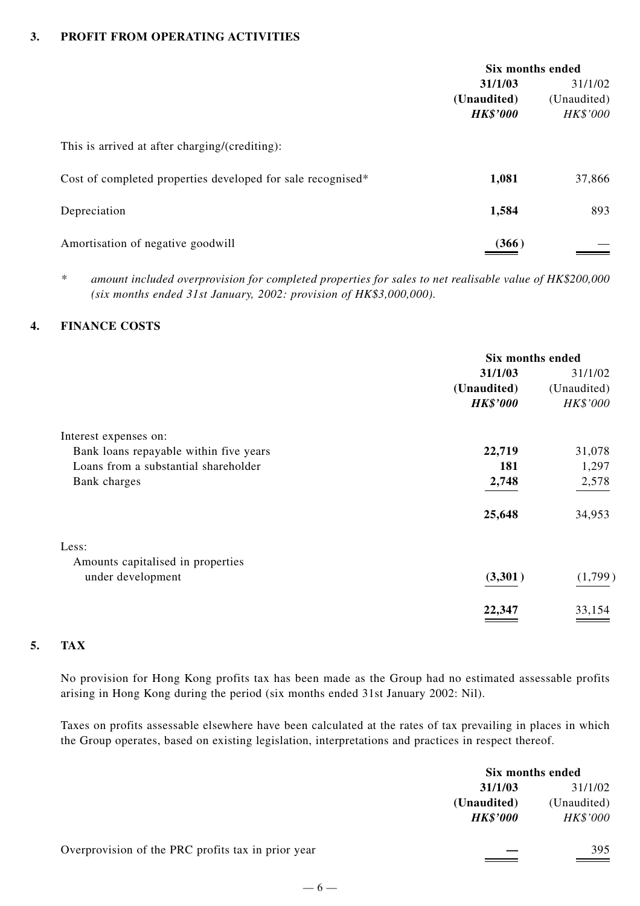#### **3. PROFIT FROM OPERATING ACTIVITIES**

|                                                             | Six months ended |             |
|-------------------------------------------------------------|------------------|-------------|
|                                                             | 31/1/03          | 31/1/02     |
|                                                             | (Unaudited)      | (Unaudited) |
|                                                             | <b>HK\$'000</b>  | HK\$'000    |
| This is arrived at after charging/(crediting):              |                  |             |
| Cost of completed properties developed for sale recognised* | 1,081            | 37,866      |
| Depreciation                                                | 1,584            | 893         |
| Amortisation of negative goodwill                           | (366)            |             |

*\* amount included overprovision for completed properties for sales to net realisable value of HK\$200,000 (six months ended 31st January, 2002: provision of HK\$3,000,000).*

#### **4. FINANCE COSTS**

|                                        | Six months ended |             |  |
|----------------------------------------|------------------|-------------|--|
|                                        | 31/1/03          | 31/1/02     |  |
|                                        | (Unaudited)      | (Unaudited) |  |
|                                        | <b>HK\$'000</b>  | HK\$'000    |  |
| Interest expenses on:                  |                  |             |  |
| Bank loans repayable within five years | 22,719           | 31,078      |  |
| Loans from a substantial shareholder   | 181              | 1,297       |  |
| Bank charges                           | 2,748            | 2,578       |  |
|                                        | 25,648           | 34,953      |  |
| Less:                                  |                  |             |  |
| Amounts capitalised in properties      |                  |             |  |
| under development                      | (3,301)          | (1,799)     |  |
|                                        | 22,347           | 33,154      |  |

#### **5. TAX**

No provision for Hong Kong profits tax has been made as the Group had no estimated assessable profits arising in Hong Kong during the period (six months ended 31st January 2002: Nil).

Taxes on profits assessable elsewhere have been calculated at the rates of tax prevailing in places in which the Group operates, based on existing legislation, interpretations and practices in respect thereof.

|                                                    |                 | Six months ended |
|----------------------------------------------------|-----------------|------------------|
|                                                    | 31/1/03         | 31/1/02          |
|                                                    | (Unaudited)     | (Unaudited)      |
|                                                    | <b>HK\$'000</b> | HK\$'000         |
| Overprovision of the PRC profits tax in prior year |                 | 395              |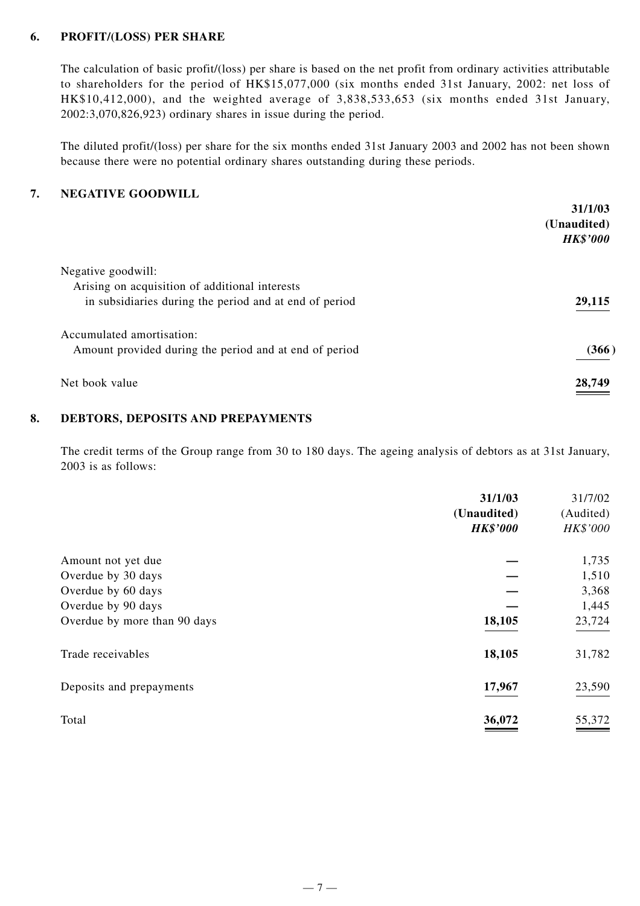#### **6. PROFIT/(LOSS) PER SHARE**

The calculation of basic profit/(loss) per share is based on the net profit from ordinary activities attributable to shareholders for the period of HK\$15,077,000 (six months ended 31st January, 2002: net loss of HK\$10,412,000), and the weighted average of 3,838,533,653 (six months ended 31st January, 2002:3,070,826,923) ordinary shares in issue during the period.

The diluted profit/(loss) per share for the six months ended 31st January 2003 and 2002 has not been shown because there were no potential ordinary shares outstanding during these periods.

#### **7. NEGATIVE GOODWILL**

|                                                                                     | 31/1/03<br>(Unaudited)<br><b>HK\$'000</b> |
|-------------------------------------------------------------------------------------|-------------------------------------------|
| Negative goodwill:<br>Arising on acquisition of additional interests                |                                           |
| in subsidiaries during the period and at end of period                              | 29,115                                    |
| Accumulated amortisation:<br>Amount provided during the period and at end of period | (366)                                     |
| Net book value                                                                      | 28,749                                    |

#### **8. DEBTORS, DEPOSITS AND PREPAYMENTS**

The credit terms of the Group range from 30 to 180 days. The ageing analysis of debtors as at 31st January, 2003 is as follows:

|                              | 31/1/03<br>(Unaudited)<br><b>HK\$'000</b> | 31/7/02<br>(Audited)<br>HK\$'000 |
|------------------------------|-------------------------------------------|----------------------------------|
| Amount not yet due           |                                           | 1,735                            |
| Overdue by 30 days           |                                           | 1,510                            |
| Overdue by 60 days           |                                           | 3,368                            |
| Overdue by 90 days           |                                           | 1,445                            |
| Overdue by more than 90 days | 18,105                                    | 23,724                           |
| Trade receivables            | 18,105                                    | 31,782                           |
| Deposits and prepayments     | 17,967                                    | 23,590                           |
| Total                        | 36,072                                    | 55,372                           |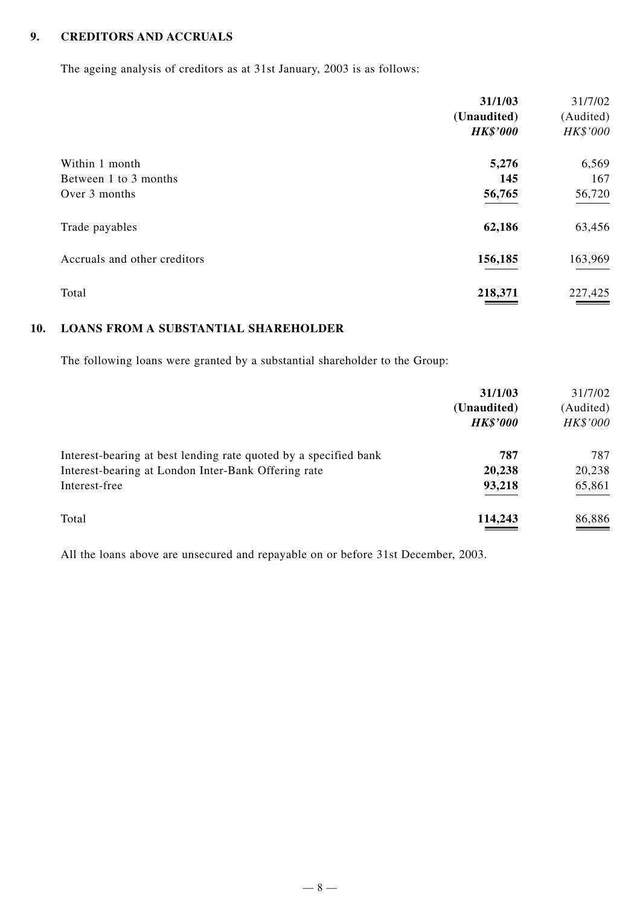#### **9. CREDITORS AND ACCRUALS**

The ageing analysis of creditors as at 31st January, 2003 is as follows:

|                              | 31/1/03<br>(Unaudited)<br><b>HK\$'000</b> | 31/7/02<br>(Audited)<br>HK\$'000 |
|------------------------------|-------------------------------------------|----------------------------------|
| Within 1 month               | 5,276                                     | 6,569                            |
| Between 1 to 3 months        | 145                                       | 167                              |
| Over 3 months                | 56,765                                    | 56,720                           |
| Trade payables               | 62,186                                    | 63,456                           |
| Accruals and other creditors | 156,185                                   | 163,969                          |
| Total                        | 218,371                                   | 227,425                          |

### **10. LOANS FROM A SUBSTANTIAL SHAREHOLDER**

The following loans were granted by a substantial shareholder to the Group:

|                                                                  | 31/1/03<br>(Unaudited)<br><b>HK\$'000</b> | 31/7/02<br>(Audited)<br>HK\$'000 |
|------------------------------------------------------------------|-------------------------------------------|----------------------------------|
| Interest-bearing at best lending rate quoted by a specified bank | 787                                       | 787                              |
| Interest-bearing at London Inter-Bank Offering rate              | 20,238                                    | 20,238                           |
| Interest-free                                                    | 93,218                                    | 65,861                           |
| Total                                                            | 114,243                                   | 86,886                           |

All the loans above are unsecured and repayable on or before 31st December, 2003.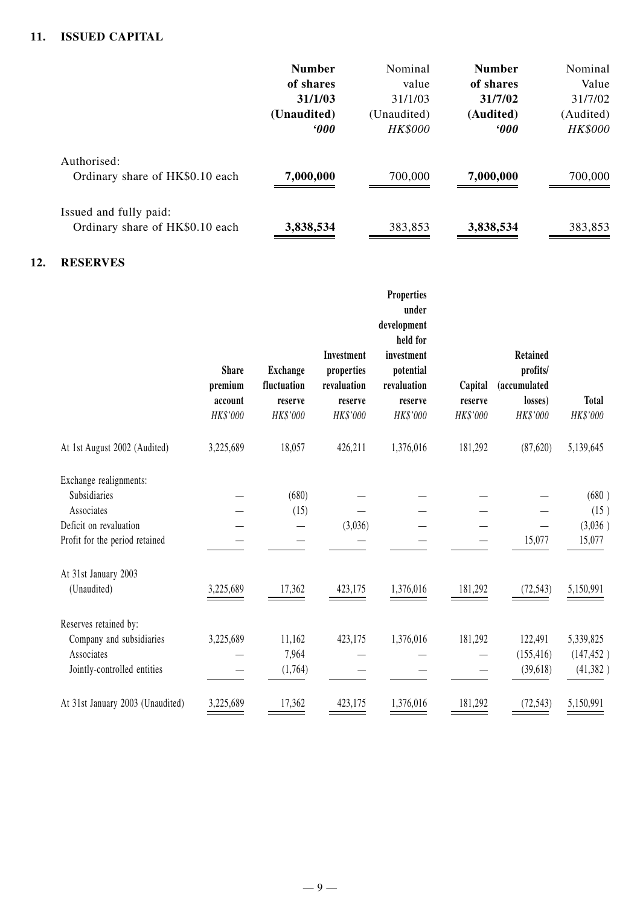#### **11. ISSUED CAPITAL**

|                                                           | <b>Number</b>     | Nominal        | <b>Number</b> | Nominal        |
|-----------------------------------------------------------|-------------------|----------------|---------------|----------------|
|                                                           | of shares         | value          | of shares     | Value          |
|                                                           | 31/1/03           | 31/1/03        | 31/7/02       | 31/7/02        |
|                                                           | (Unaudited)       | (Unaudited)    | (Audited)     | (Audited)      |
|                                                           | <i><b>000</b></i> | <b>HK\$000</b> | 000           | <b>HK\$000</b> |
| Authorised:<br>Ordinary share of HK\$0.10 each            | 7,000,000         | 700,000        | 7,000,000     | 700,000        |
| Issued and fully paid:<br>Ordinary share of HK\$0.10 each | 3,838,534         | 383,853        | 3,838,534     | 383,853        |

#### **12. RESERVES**

|                                                                                                                  | <b>Share</b><br>premium<br>account<br>HK\$'000 | <b>Exchange</b><br>fluctuation<br>reserve<br>HK\$'000 | Investment<br>properties<br>revaluation<br>reserve<br>HK\$'000 | <b>Properties</b><br>under<br>development<br>held for<br>investment<br>potential<br>revaluation<br>reserve<br>HK\$'000 | Capital<br>reserve<br>HK\$'000 | <b>Retained</b><br>profits/<br>(accumulated<br>losses)<br>HK\$'000 | <b>Total</b><br>HK\$'000             |
|------------------------------------------------------------------------------------------------------------------|------------------------------------------------|-------------------------------------------------------|----------------------------------------------------------------|------------------------------------------------------------------------------------------------------------------------|--------------------------------|--------------------------------------------------------------------|--------------------------------------|
| At 1st August 2002 (Audited)                                                                                     | 3,225,689                                      | 18,057                                                | 426,211                                                        | 1,376,016                                                                                                              | 181,292                        | (87,620)                                                           | 5,139,645                            |
| Exchange realignments:<br>Subsidiaries<br>Associates<br>Deficit on revaluation<br>Profit for the period retained |                                                | (680)<br>(15)                                         | (3,036)                                                        |                                                                                                                        |                                | 15,077                                                             | (680)<br>(15)<br>(3,036)<br>15,077   |
| At 31st January 2003<br>(Unaudited)                                                                              | 3,225,689                                      | 17,362                                                | 423,175                                                        | 1,376,016                                                                                                              | 181,292                        | (72, 543)                                                          | 5,150,991                            |
| Reserves retained by:<br>Company and subsidiaries<br>Associates<br>Jointly-controlled entities                   | 3,225,689                                      | 11,162<br>7,964<br>(1,764)                            | 423,175                                                        | 1,376,016                                                                                                              | 181,292                        | 122,491<br>(155, 416)<br>(39, 618)                                 | 5,339,825<br>(147, 452)<br>(41, 382) |
| At 31st January 2003 (Unaudited)                                                                                 | 3,225,689                                      | 17,362                                                | 423,175                                                        | 1,376,016                                                                                                              | 181,292                        | (72, 543)                                                          | 5,150,991                            |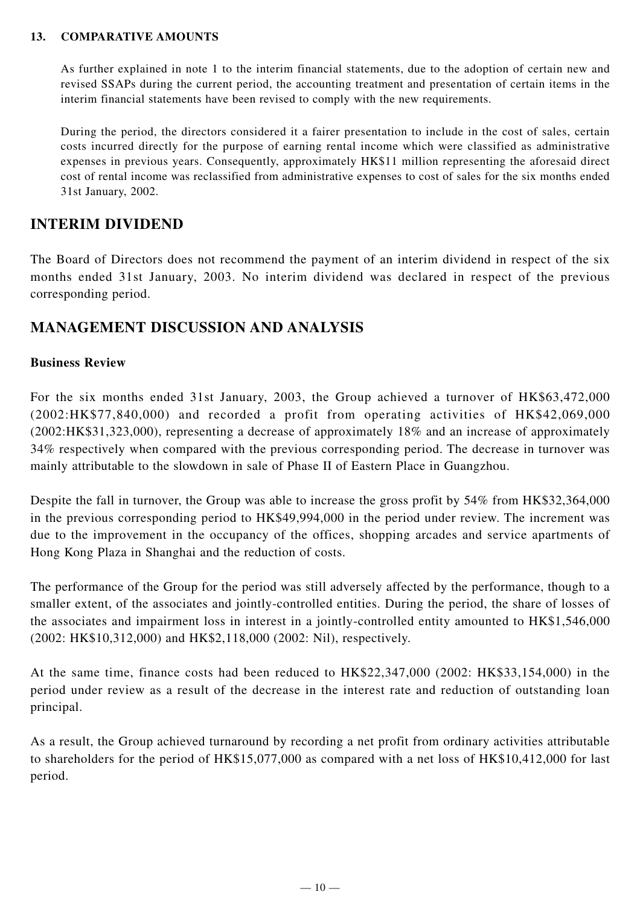#### **13. COMPARATIVE AMOUNTS**

As further explained in note 1 to the interim financial statements, due to the adoption of certain new and revised SSAPs during the current period, the accounting treatment and presentation of certain items in the interim financial statements have been revised to comply with the new requirements.

During the period, the directors considered it a fairer presentation to include in the cost of sales, certain costs incurred directly for the purpose of earning rental income which were classified as administrative expenses in previous years. Consequently, approximately HK\$11 million representing the aforesaid direct cost of rental income was reclassified from administrative expenses to cost of sales for the six months ended 31st January, 2002.

# **INTERIM DIVIDEND**

The Board of Directors does not recommend the payment of an interim dividend in respect of the six months ended 31st January, 2003. No interim dividend was declared in respect of the previous corresponding period.

# **MANAGEMENT DISCUSSION AND ANALYSIS**

#### **Business Review**

For the six months ended 31st January, 2003, the Group achieved a turnover of HK\$63,472,000 (2002:HK\$77,840,000) and recorded a profit from operating activities of HK\$42,069,000 (2002:HK\$31,323,000), representing a decrease of approximately 18% and an increase of approximately 34% respectively when compared with the previous corresponding period. The decrease in turnover was mainly attributable to the slowdown in sale of Phase II of Eastern Place in Guangzhou.

Despite the fall in turnover, the Group was able to increase the gross profit by 54% from HK\$32,364,000 in the previous corresponding period to HK\$49,994,000 in the period under review. The increment was due to the improvement in the occupancy of the offices, shopping arcades and service apartments of Hong Kong Plaza in Shanghai and the reduction of costs.

The performance of the Group for the period was still adversely affected by the performance, though to a smaller extent, of the associates and jointly-controlled entities. During the period, the share of losses of the associates and impairment loss in interest in a jointly-controlled entity amounted to HK\$1,546,000 (2002: HK\$10,312,000) and HK\$2,118,000 (2002: Nil), respectively.

At the same time, finance costs had been reduced to HK\$22,347,000 (2002: HK\$33,154,000) in the period under review as a result of the decrease in the interest rate and reduction of outstanding loan principal.

As a result, the Group achieved turnaround by recording a net profit from ordinary activities attributable to shareholders for the period of HK\$15,077,000 as compared with a net loss of HK\$10,412,000 for last period.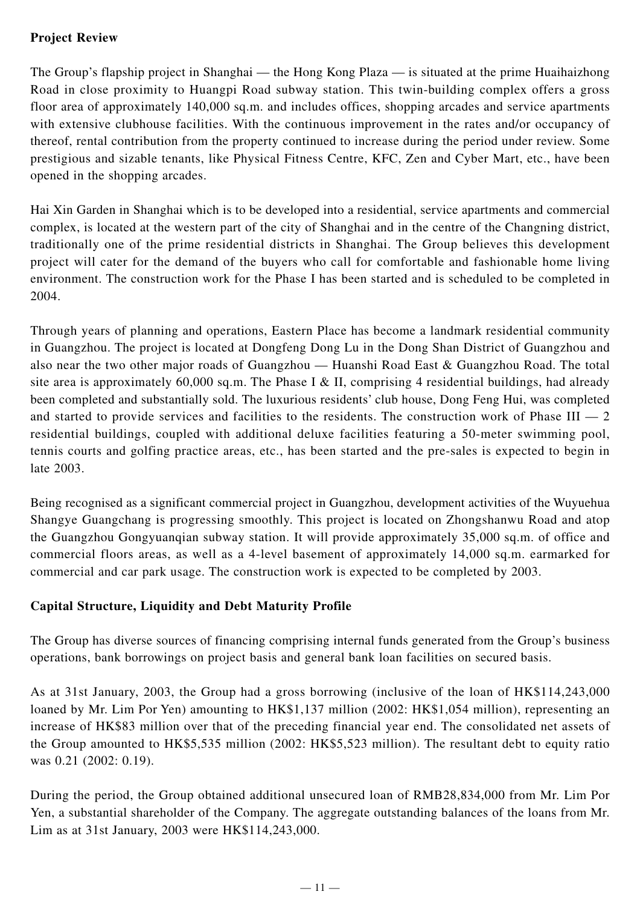# **Project Review**

The Group's flapship project in Shanghai — the Hong Kong Plaza — is situated at the prime Huaihaizhong Road in close proximity to Huangpi Road subway station. This twin-building complex offers a gross floor area of approximately 140,000 sq.m. and includes offices, shopping arcades and service apartments with extensive clubhouse facilities. With the continuous improvement in the rates and/or occupancy of thereof, rental contribution from the property continued to increase during the period under review. Some prestigious and sizable tenants, like Physical Fitness Centre, KFC, Zen and Cyber Mart, etc., have been opened in the shopping arcades.

Hai Xin Garden in Shanghai which is to be developed into a residential, service apartments and commercial complex, is located at the western part of the city of Shanghai and in the centre of the Changning district, traditionally one of the prime residential districts in Shanghai. The Group believes this development project will cater for the demand of the buyers who call for comfortable and fashionable home living environment. The construction work for the Phase I has been started and is scheduled to be completed in 2004.

Through years of planning and operations, Eastern Place has become a landmark residential community in Guangzhou. The project is located at Dongfeng Dong Lu in the Dong Shan District of Guangzhou and also near the two other major roads of Guangzhou — Huanshi Road East & Guangzhou Road. The total site area is approximately 60,000 sq.m. The Phase I & II, comprising 4 residential buildings, had already been completed and substantially sold. The luxurious residents' club house, Dong Feng Hui, was completed and started to provide services and facilities to the residents. The construction work of Phase  $III - 2$ residential buildings, coupled with additional deluxe facilities featuring a 50-meter swimming pool, tennis courts and golfing practice areas, etc., has been started and the pre-sales is expected to begin in late 2003.

Being recognised as a significant commercial project in Guangzhou, development activities of the Wuyuehua Shangye Guangchang is progressing smoothly. This project is located on Zhongshanwu Road and atop the Guangzhou Gongyuanqian subway station. It will provide approximately 35,000 sq.m. of office and commercial floors areas, as well as a 4-level basement of approximately 14,000 sq.m. earmarked for commercial and car park usage. The construction work is expected to be completed by 2003.

# **Capital Structure, Liquidity and Debt Maturity Profile**

The Group has diverse sources of financing comprising internal funds generated from the Group's business operations, bank borrowings on project basis and general bank loan facilities on secured basis.

As at 31st January, 2003, the Group had a gross borrowing (inclusive of the loan of HK\$114,243,000 loaned by Mr. Lim Por Yen) amounting to HK\$1,137 million (2002: HK\$1,054 million), representing an increase of HK\$83 million over that of the preceding financial year end. The consolidated net assets of the Group amounted to HK\$5,535 million (2002: HK\$5,523 million). The resultant debt to equity ratio was 0.21 (2002: 0.19).

During the period, the Group obtained additional unsecured loan of RMB28,834,000 from Mr. Lim Por Yen, a substantial shareholder of the Company. The aggregate outstanding balances of the loans from Mr. Lim as at 31st January, 2003 were HK\$114,243,000.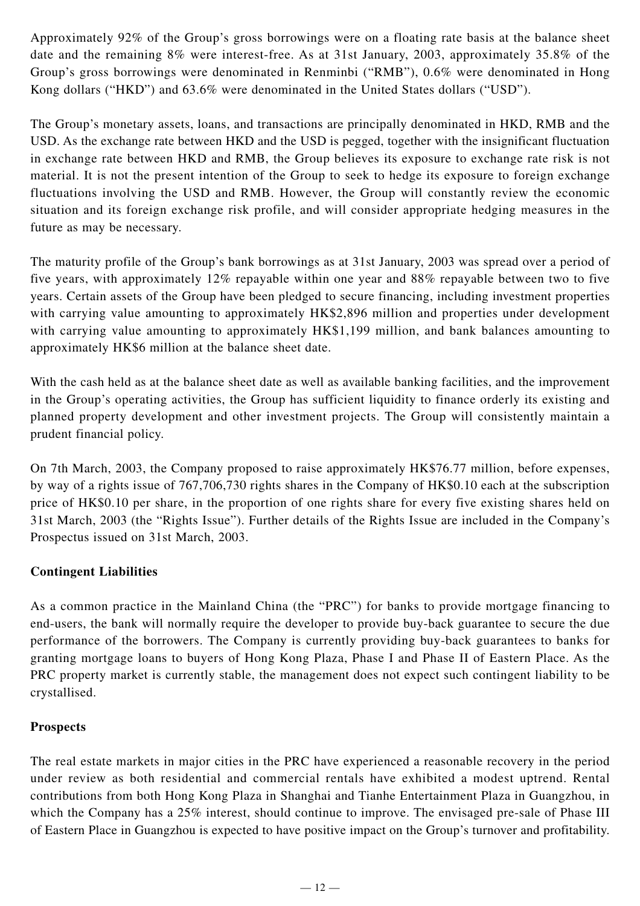Approximately 92% of the Group's gross borrowings were on a floating rate basis at the balance sheet date and the remaining 8% were interest-free. As at 31st January, 2003, approximately 35.8% of the Group's gross borrowings were denominated in Renminbi ("RMB"), 0.6% were denominated in Hong Kong dollars ("HKD") and 63.6% were denominated in the United States dollars ("USD").

The Group's monetary assets, loans, and transactions are principally denominated in HKD, RMB and the USD. As the exchange rate between HKD and the USD is pegged, together with the insignificant fluctuation in exchange rate between HKD and RMB, the Group believes its exposure to exchange rate risk is not material. It is not the present intention of the Group to seek to hedge its exposure to foreign exchange fluctuations involving the USD and RMB. However, the Group will constantly review the economic situation and its foreign exchange risk profile, and will consider appropriate hedging measures in the future as may be necessary.

The maturity profile of the Group's bank borrowings as at 31st January, 2003 was spread over a period of five years, with approximately 12% repayable within one year and 88% repayable between two to five years. Certain assets of the Group have been pledged to secure financing, including investment properties with carrying value amounting to approximately HK\$2,896 million and properties under development with carrying value amounting to approximately HK\$1,199 million, and bank balances amounting to approximately HK\$6 million at the balance sheet date.

With the cash held as at the balance sheet date as well as available banking facilities, and the improvement in the Group's operating activities, the Group has sufficient liquidity to finance orderly its existing and planned property development and other investment projects. The Group will consistently maintain a prudent financial policy.

On 7th March, 2003, the Company proposed to raise approximately HK\$76.77 million, before expenses, by way of a rights issue of 767,706,730 rights shares in the Company of HK\$0.10 each at the subscription price of HK\$0.10 per share, in the proportion of one rights share for every five existing shares held on 31st March, 2003 (the "Rights Issue"). Further details of the Rights Issue are included in the Company's Prospectus issued on 31st March, 2003.

# **Contingent Liabilities**

As a common practice in the Mainland China (the "PRC") for banks to provide mortgage financing to end-users, the bank will normally require the developer to provide buy-back guarantee to secure the due performance of the borrowers. The Company is currently providing buy-back guarantees to banks for granting mortgage loans to buyers of Hong Kong Plaza, Phase I and Phase II of Eastern Place. As the PRC property market is currently stable, the management does not expect such contingent liability to be crystallised.

# **Prospects**

The real estate markets in major cities in the PRC have experienced a reasonable recovery in the period under review as both residential and commercial rentals have exhibited a modest uptrend. Rental contributions from both Hong Kong Plaza in Shanghai and Tianhe Entertainment Plaza in Guangzhou, in which the Company has a 25% interest, should continue to improve. The envisaged pre-sale of Phase III of Eastern Place in Guangzhou is expected to have positive impact on the Group's turnover and profitability.